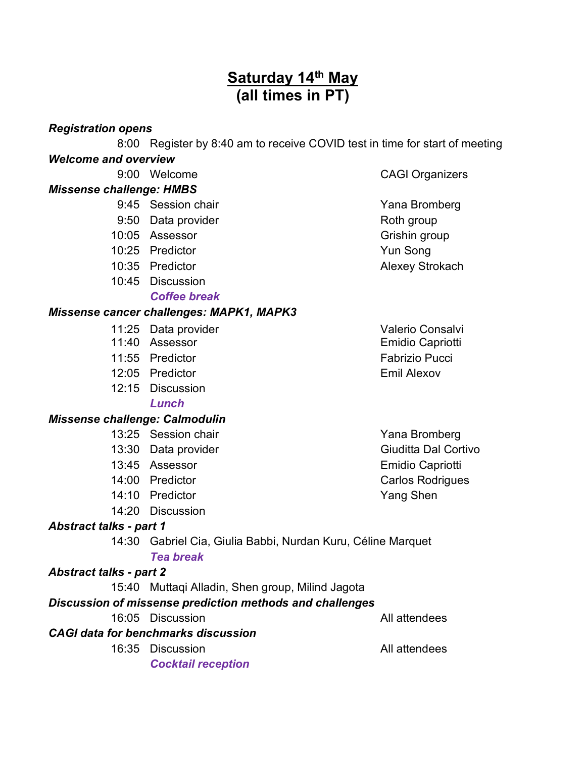# **Saturday 14th May (all times in PT)**

#### *Registration opens*

8:00 Register by 8:40 am to receive COVID test in time for start of meeting

# *Welcome and overview*

9:00 Welcome CAGI Organizers

### *Missense challenge: HMBS*

- 9:45 Session chair **Yana Bromberg**
- 9:50 Data provider and the Roth group
- 10:05 Assessor Grishin group
- 10:25 Predictor **Yun Song**
- 10:35 Predictor **Alexey Strokach**
- 10:45 Discussion

## *Coffee break*

## *Missense cancer challenges: MAPK1, MAPK3*

- 11:25 Data provider values and valerio Consalvi
- 11:40 Assessor **Emidio Capriotti**
- 11:55 Predictor **Fabrizio** Pucci
- 12:05 Predictor **Emil Alexov**
- 12:15 Discussion

#### *Lunch*

## *Missense challenge: Calmodulin*

- 13:25 Session chair **Yana Bromberg**
- 13:30 Data provider Giudita Dal Cortivo
- 
- 
- 14:10 Predictor **Yang Shen**
- 14:20 Discussion

## *Abstract talks - part 1*

14:30 Gabriel Cia, Giulia Babbi, Nurdan Kuru, Céline Marquet *Tea break*

## *Abstract talks - part 2*

15:40 Muttaqi Alladin, Shen group, Milind Jagota

## *Discussion of missense prediction methods and challenges*

16:05 Discussion All attendees

# *CAGI data for benchmarks discussion*

16:35 Discussion All attendees

*Cocktail reception*

13:45 Assessor **Emidio Capriotti** 14:00 Predictor **Carlos Rodrigues** Carlos Rodrigues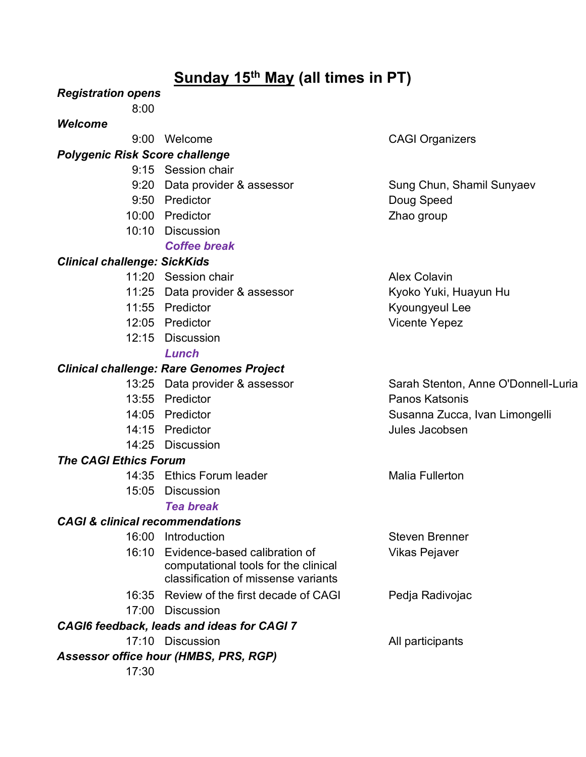# **Sunday 15th May (all times in PT)**

### *Registration opens*

8:00

### *Welcome*

## *Polygenic Risk Score challenge*

- 9:15 Session chair
	-
- 9:50 Predictor **Doug Speed**
- 10:00 Predictor **Network** 2hao group
- 10:10 Discussion *Coffee break*

## *Clinical challenge: SickKids*

- 11:20 Session chair **Alex Colavin** Alex Colavin
- 11:25 Data provider & assessor Kyoko Yuki, Huayun Hu
- 
- 12:05 Predictor **Vicente Yepez**
- 12:15 Discussion *Lunch*

### *Clinical challenge: Rare Genomes Project*

- 
- 13:55 Predictor **Panos Katsonis**
- 
- 14:15 Predictor **International Contract Contract Contract Contract Contract Contract Contract Contract Contract Contract Contract Contract Contract Contract Contract Contract Contract Contract Contract Contract Contract Co**
- 14:25 Discussion

## *The CAGI Ethics Forum*

- 14:35 Ethics Forum leader Malia Fullerton
- 15:05 Discussion

## *Tea break*

## *CAGI & clinical recommendations*

| 16:00 | Introduction                                                                                                       | <b>Steven Brenner</b> |
|-------|--------------------------------------------------------------------------------------------------------------------|-----------------------|
|       | 16:10 Evidence-based calibration of<br>computational tools for the clinical<br>classification of missense variants | <b>Vikas Pejaver</b>  |
|       | 16:35 Review of the first decade of CAGI                                                                           | Pedja Radivojac       |
| 17:00 | <b>Discussion</b>                                                                                                  |                       |
|       | CAGI6 feedback, leads and ideas for CAGI 7                                                                         |                       |
|       | 17.10 Discussion                                                                                                   | All participants      |
|       | <b>Assessor office hour (HMBS, PRS, RGP)</b>                                                                       |                       |
| 17:30 |                                                                                                                    |                       |

## 9:00 Welcome CAGI Organizers

9:20 Data provider & assessor Sung Chun, Shamil Sunyaev

11:55 Predictor **Kyoungyeul Lee** 

13:25 Data provider & assessor Sarah Stenton, Anne O'Donnell-Luria 14:05 Predictor **Susanna Zucca, Ivan Limongelli** Susanna Zucca, Ivan Limongelli

er